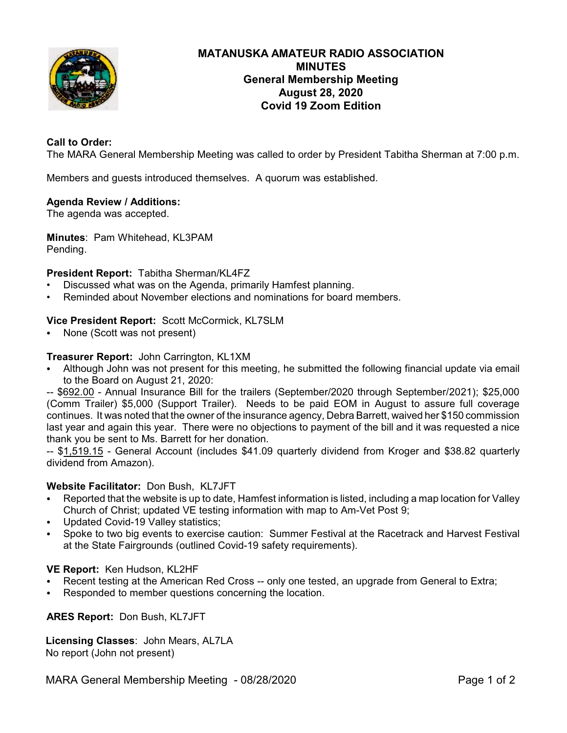

# **MATANUSKA AMATEUR RADIO ASSOCIATION MINUTES General Membership Meeting August 28, 2020 Covid 19 Zoom Edition**

# **Call to Order:**

The MARA General Membership Meeting was called to order by President Tabitha Sherman at 7:00 p.m.

Members and guests introduced themselves. A quorum was established.

#### **Agenda Review / Additions:**

The agenda was accepted.

**Minutes**: Pam Whitehead, KL3PAM Pending.

## **President Report:** Tabitha Sherman/KL4FZ

- Discussed what was on the Agenda, primarily Hamfest planning.
- Reminded about November elections and nominations for board members.

#### **Vice President Report:** Scott McCormick, KL7SLM

None (Scott was not present)

#### **Treasurer Report:** John Carrington, KL1XM

Although John was not present for this meeting, he submitted the following financial update via email to the Board on August 21, 2020:

-- \$692.00 - Annual Insurance Bill for the trailers (September/2020 through September/2021); \$25,000 (Comm Trailer) \$5,000 (Support Trailer). Needs to be paid EOM in August to assure full coverage continues. It was noted that the owner of the insurance agency, Debra Barrett, waived her \$150 commission last year and again this year. There were no objections to payment of the bill and it was requested a nice thank you be sent to Ms. Barrett for her donation.

-- \$1,519.15 - General Account (includes \$41.09 quarterly dividend from Kroger and \$38.82 quarterly dividend from Amazon).

#### **Website Facilitator:** Don Bush, KL7JFT

- C Reported that the website is up to date, Hamfest information is listed, including a map location for Valley Church of Christ; updated VE testing information with map to Am-Vet Post 9;
- Updated Covid-19 Valley statistics;
- Spoke to two big events to exercise caution: Summer Festival at the Racetrack and Harvest Festival at the State Fairgrounds (outlined Covid-19 safety requirements).

#### **VE Report:** Ken Hudson, KL2HF

- Recent testing at the American Red Cross -- only one tested, an upgrade from General to Extra;
- Responded to member questions concerning the location.

## **ARES Report:** Don Bush, KL7JFT

## **Licensing Classes**: John Mears, AL7LA No report (John not present)